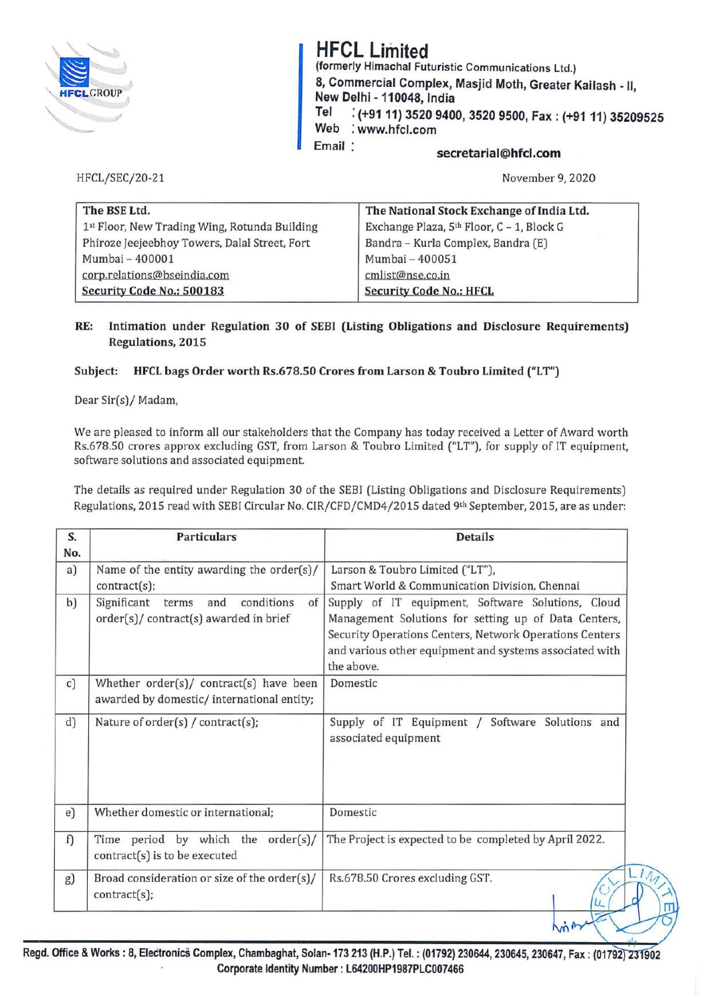

# **HFCL Limited**

**(formerly Himachal Futuristic** Communications Ltd.) **8, Commercial Complex, Masjid Moth, Greater Kailash** - II **New Delhi** - **110048, India** ' **Tel** : **(+9111) 3520 9400, 3520 9500, Fax: (+9111) 35209525 Web** : **www.hfcl.com**  Email: **secretarial@hfcl.com** 

HFCL/SEC/20-21

November 9, 2020

| The BSE Ltd.                                  | The National Stock Exchange of India Ltd. |
|-----------------------------------------------|-------------------------------------------|
| 1st Floor, New Trading Wing, Rotunda Building | Exchange Plaza, 5th Floor, C - 1, Block G |
| Phiroze Jeejeebhoy Towers, Dalal Street, Fort | Bandra - Kurla Complex, Bandra (E)        |
| Mumbai - 400001                               | Mumbai - 400051                           |
| corp.relations@bseindia.com                   | cmlist@nse.co.in                          |
| Security Code No.: 500183                     | <b>Security Code No.: HFCL</b>            |

### **RE: Intimation under Regulation 30 of SEBI (Listing Obligations and Disclosure Requirements) Regulations, 2015**

### **Subject: HFCL bags Order worth Rs.678.50 Crores from Larson** & **Toubro Limited ("LT")**

Dear Sir(s)/ Madam,

We are pleased to inform all our stakeholders that the Company has today received a Letter of Award worth Rs.678.50 crores approx excluding GST, from Larson & Toubro Limited ("LT"), for supply of IT equipment, software solutions and associated equipment.

The details as required under Regulation 30 of the SEBI (Listing Obligations and Disclosure Requirements) Regulations, 2015 read with SEBI Circular No. CIR/CFD/CMD4/2015 dated 9th September, 2015, are as under:

| S.<br>No. | <b>Particulars</b>                                                                     | <b>Details</b>                                                                                                                                                                                                                                |  |
|-----------|----------------------------------------------------------------------------------------|-----------------------------------------------------------------------------------------------------------------------------------------------------------------------------------------------------------------------------------------------|--|
| a)        | Name of the entity awarding the order(s)/<br>contract(s);                              | Larson & Toubro Limited ("LT"),<br>Smart World & Communication Division, Chennai                                                                                                                                                              |  |
| b)        | Significant terms<br>and<br>conditions<br>of<br>order(s)/ contract(s) awarded in brief | Supply of IT equipment, Software Solutions, Cloud<br>Management Solutions for setting up of Data Centers,<br>Security Operations Centers, Network Operations Centers<br>and various other equipment and systems associated with<br>the above. |  |
| c)        | Whether order(s)/ contract(s) have been<br>awarded by domestic/ international entity;  | Domestic                                                                                                                                                                                                                                      |  |
| d)        | Nature of order(s) / contract(s);                                                      | Supply of IT Equipment / Software Solutions and<br>associated equipment                                                                                                                                                                       |  |
| e)        | Whether domestic or international;                                                     | Domestic                                                                                                                                                                                                                                      |  |
| f)        | Time period by which the order(s)/<br>contract(s) is to be executed                    | The Project is expected to be completed by April 2022.                                                                                                                                                                                        |  |
| g)        | Broad consideration or size of the order(s)/                                           | Rs.678.50 Crores excluding GST.                                                                                                                                                                                                               |  |

Regd. Office & Works: 8, Electronics Complex, Chambaghat, Solan-173 213 (H.P.) Tel.: (01792) 230644, 230645, 230647, Fax: (01792) 231902 Corporate Identity Number: L64200HP1987PLC007466